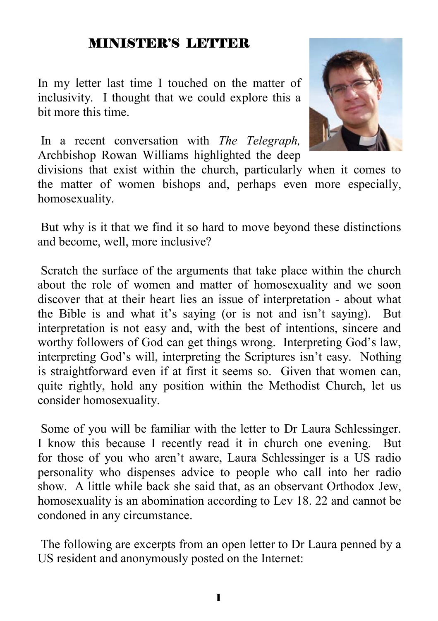#### MINISTER'S LETTER

In my letter last time I touched on the matter of inclusivity. I thought that we could explore this a bit more this time.

 In a recent conversation with *The Telegraph,*  Archbishop Rowan Williams highlighted the deep

divisions that exist within the church, particularly when it comes to the matter of women bishops and, perhaps even more especially, homosexuality.

 But why is it that we find it so hard to move beyond these distinctions and become, well, more inclusive?

 Scratch the surface of the arguments that take place within the church about the role of women and matter of homosexuality and we soon discover that at their heart lies an issue of interpretation - about what the Bible is and what it's saying (or is not and isn't saying). But interpretation is not easy and, with the best of intentions, sincere and worthy followers of God can get things wrong. Interpreting God's law, interpreting God's will, interpreting the Scriptures isn't easy. Nothing is straightforward even if at first it seems so. Given that women can, quite rightly, hold any position within the Methodist Church, let us consider homosexuality.

 Some of you will be familiar with the letter to Dr Laura Schlessinger. I know this because I recently read it in church one evening. But for those of you who aren't aware, Laura Schlessinger is a US radio personality who dispenses advice to people who call into her radio show. A little while back she said that, as an observant Orthodox Jew, homosexuality is an abomination according to Lev 18. 22 and cannot be condoned in any circumstance.

 The following are excerpts from an open letter to Dr Laura penned by a US resident and anonymously posted on the Internet:

1

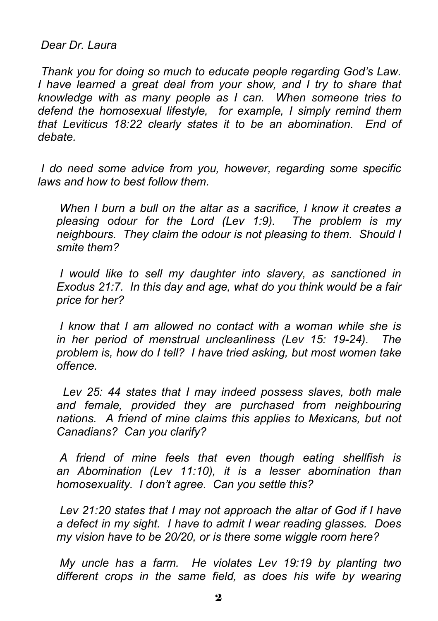*Dear Dr. Laura* 

*Thank you for doing so much to educate people regarding God's Law. I have learned a great deal from your show, and I try to share that knowledge with as many people as I can. When someone tries to defend the homosexual lifestyle, for example, I simply remind them that Leviticus 18:22 clearly states it to be an abomination. End of debate.* 

*I do need some advice from you, however, regarding some specific laws and how to best follow them.* 

*When I burn a bull on the altar as a sacrifice, I know it creates a pleasing odour for the Lord (Lev 1:9). The problem is my neighbours. They claim the odour is not pleasing to them. Should I smite them?* 

*I would like to sell my daughter into slavery, as sanctioned in Exodus 21:7. In this day and age, what do you think would be a fair price for her?* 

*I know that I am allowed no contact with a woman while she is in her period of menstrual uncleanliness (Lev 15: 19-24). The problem is, how do I tell? I have tried asking, but most women take offence.* 

 *Lev 25: 44 states that I may indeed possess slaves, both male and female, provided they are purchased from neighbouring nations. A friend of mine claims this applies to Mexicans, but not Canadians? Can you clarify?* 

*A friend of mine feels that even though eating shellfish is an Abomination (Lev 11:10), it is a lesser abomination than homosexuality. I don't agree. Can you settle this?* 

*Lev 21:20 states that I may not approach the altar of God if I have a defect in my sight. I have to admit I wear reading glasses. Does my vision have to be 20/20, or is there some wiggle room here?* 

*My uncle has a farm. He violates Lev 19:19 by planting two different crops in the same field, as does his wife by wearing*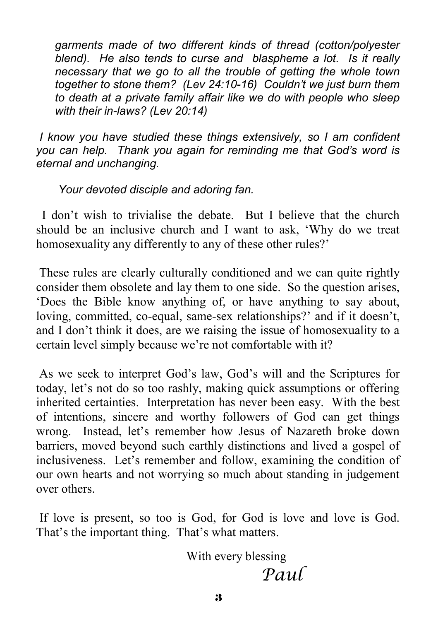*garments made of two different kinds of thread (cotton/polyester blend). He also tends to curse and blaspheme a lot. Is it really necessary that we go to all the trouble of getting the whole town together to stone them? (Lev 24:10-16) Couldn't we just burn them to death at a private family affair like we do with people who sleep with their in-laws? (Lev 20:14)* 

*I know you have studied these things extensively, so I am confident you can help. Thank you again for reminding me that God's word is eternal and unchanging.* 

*Your devoted disciple and adoring fan.* 

 I don't wish to trivialise the debate. But I believe that the church should be an inclusive church and I want to ask, 'Why do we treat homosexuality any differently to any of these other rules?'

 These rules are clearly culturally conditioned and we can quite rightly consider them obsolete and lay them to one side. So the question arises, 'Does the Bible know anything of, or have anything to say about, loving, committed, co-equal, same-sex relationships?' and if it doesn't, and I don't think it does, are we raising the issue of homosexuality to a certain level simply because we're not comfortable with it?

 As we seek to interpret God's law, God's will and the Scriptures for today, let's not do so too rashly, making quick assumptions or offering inherited certainties. Interpretation has never been easy. With the best of intentions, sincere and worthy followers of God can get things wrong. Instead, let's remember how Jesus of Nazareth broke down barriers, moved beyond such earthly distinctions and lived a gospel of inclusiveness. Let's remember and follow, examining the condition of our own hearts and not worrying so much about standing in judgement over others.

 If love is present, so too is God, for God is love and love is God. That's the important thing. That's what matters.

 With every blessing *Paul*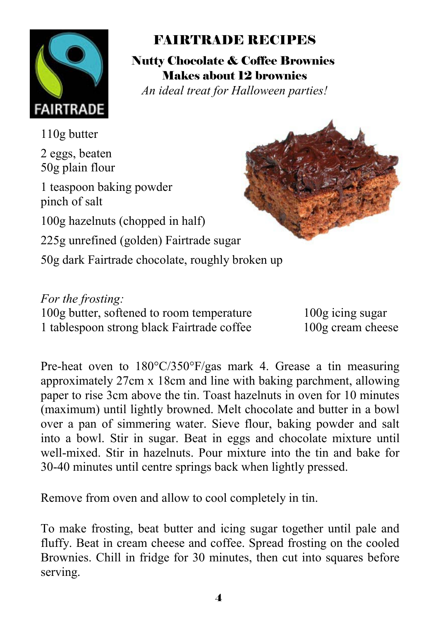

## FAIRTRADE RECIPES

Nutty Chocolate & Coffee Brownies Makes about 12 brownies *An ideal treat for Halloween parties!* 

110g butter 2 eggs, beaten 50g plain flour 1 teaspoon baking powder pinch of salt 100g hazelnuts (chopped in half) 225g unrefined (golden) Fairtrade sugar 50g dark Fairtrade chocolate, roughly broken up

*For the frosting:* 100g butter, softened to room temperature 100g icing sugar 1 tablespoon strong black Fairtrade coffee 100g cream cheese

Pre-heat oven to 180°C/350°F/gas mark 4. Grease a tin measuring approximately 27cm x 18cm and line with baking parchment, allowing paper to rise 3cm above the tin. Toast hazelnuts in oven for 10 minutes (maximum) until lightly browned. Melt chocolate and butter in a bowl over a pan of simmering water. Sieve flour, baking powder and salt into a bowl. Stir in sugar. Beat in eggs and chocolate mixture until well-mixed. Stir in hazelnuts. Pour mixture into the tin and bake for 30-40 minutes until centre springs back when lightly pressed.

Remove from oven and allow to cool completely in tin.

To make frosting, beat butter and icing sugar together until pale and fluffy. Beat in cream cheese and coffee. Spread frosting on the cooled Brownies. Chill in fridge for 30 minutes, then cut into squares before serving.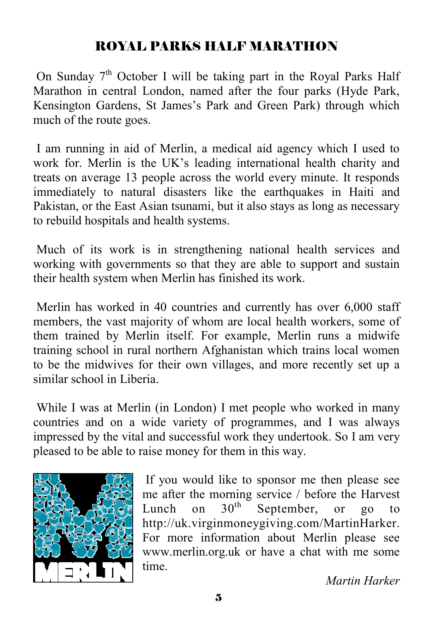#### ROYAL PARKS HALF MARATHON

On Sunday  $7<sup>th</sup>$  October I will be taking part in the Royal Parks Half Marathon in central London, named after the four parks (Hyde Park, Kensington Gardens, St James's Park and Green Park) through which much of the route goes.

 I am running in aid of Merlin, a medical aid agency which I used to work for. Merlin is the UK's leading international health charity and treats on average 13 people across the world every minute. It responds immediately to natural disasters like the earthquakes in Haiti and Pakistan, or the East Asian tsunami, but it also stays as long as necessary to rebuild hospitals and health systems.

 Much of its work is in strengthening national health services and working with governments so that they are able to support and sustain their health system when Merlin has finished its work.

 Merlin has worked in 40 countries and currently has over 6,000 staff members, the vast majority of whom are local health workers, some of them trained by Merlin itself. For example, Merlin runs a midwife training school in rural northern Afghanistan which trains local women to be the midwives for their own villages, and more recently set up a similar school in Liberia.

 While I was at Merlin (in London) I met people who worked in many countries and on a wide variety of programmes, and I was always impressed by the vital and successful work they undertook. So I am very pleased to be able to raise money for them in this way.



 If you would like to sponsor me then please see me after the morning service / before the Harvest<br>Lunch on  $30<sup>th</sup>$  September, or go to Lunch on  $30<sup>th</sup>$  September, or go to http://uk.virginmoneygiving.com/MartinHarker. For more information about Merlin please see www.merlin.org.uk or have a chat with me some time.

*Martin Harker*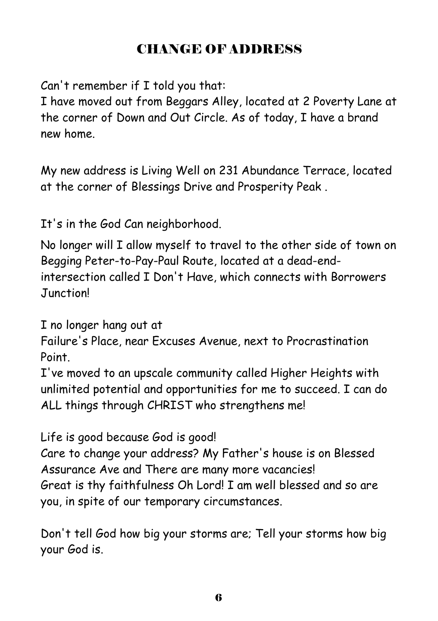## CHANGE OF ADDRESS

Can't remember if I told you that:

I have moved out from Beggars Alley, located at 2 Poverty Lane at the corner of Down and Out Circle. As of today, I have a brand new home.

My new address is Living Well on 231 Abundance Terrace, located at the corner of Blessings Drive and Prosperity Peak .

It's in the God Can neighborhood.

No longer will I allow myself to travel to the other side of town on Begging Peter-to-Pay-Paul Route, located at a dead-endintersection called I Don't Have, which connects with Borrowers Junction!

I no longer hang out at

Failure's Place, near Excuses Avenue, next to Procrastination Point.

I've moved to an upscale community called Higher Heights with unlimited potential and opportunities for me to succeed. I can do ALL things through CHRIST who strengthens me!

Life is good because God is good!

Care to change your address? My Father's house is on Blessed Assurance Ave and There are many more vacancies! Great is thy faithfulness Oh Lord! I am well blessed and so are you, in spite of our temporary circumstances.

Don't tell God how big your storms are; Tell your storms how big your God is.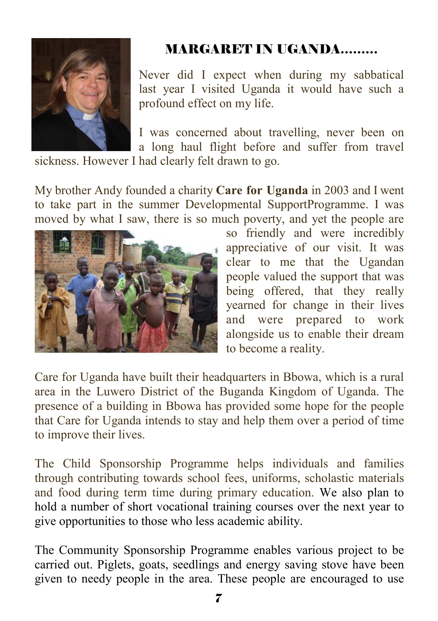

# MARGARET IN UGANDA………

Never did I expect when during my sabbatical last year I visited Uganda it would have such a profound effect on my life.

I was concerned about travelling, never been on a long haul flight before and suffer from travel

sickness. However I had clearly felt drawn to go.

My brother Andy founded a charity **Care for Uganda** in 2003 and I went to take part in the summer Developmental SupportProgramme. I was moved by what I saw, there is so much poverty, and yet the people are



so friendly and were incredibly appreciative of our visit. It was clear to me that the Ugandan people valued the support that was being offered, that they really yearned for change in their lives and were prepared to work alongside us to enable their dream to become a reality.

Care for Uganda have built their headquarters in Bbowa, which is a rural area in the Luwero District of the Buganda Kingdom of Uganda. The presence of a building in Bbowa has provided some hope for the people that Care for Uganda intends to stay and help them over a period of time to improve their lives.

The Child Sponsorship Programme helps individuals and families through contributing towards school fees, uniforms, scholastic materials and food during term time during primary education. We also plan to hold a number of short vocational training courses over the next year to give opportunities to those who less academic ability.

The Community Sponsorship Programme enables various project to be carried out. Piglets, goats, seedlings and energy saving stove have been given to needy people in the area. These people are encouraged to use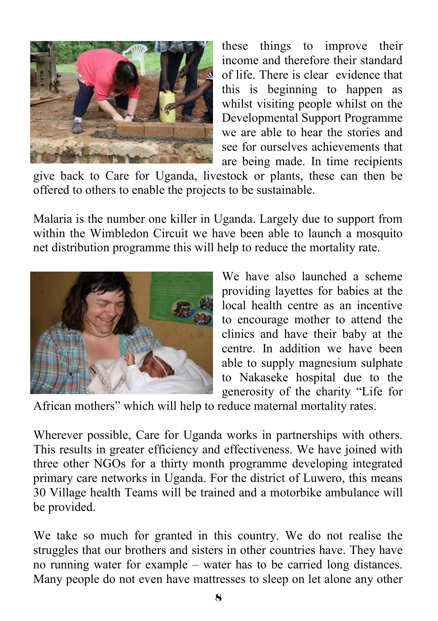

these things to improve their income and therefore their standard of life. There is clear evidence that this is beginning to happen as whilst visiting people whilst on the Developmental Support Programme we are able to hear the stories and see for ourselves achievements that are being made. In time recipients

give back to Care for Uganda, livestock or plants, these can then be offered to others to enable the projects to be sustainable.

Malaria is the number one killer in Uganda. Largely due to support from within the Wimbledon Circuit we have been able to launch a mosquito net distribution programme this will help to reduce the mortality rate.



We have also launched a scheme providing layettes for babies at the local health centre as an incentive to encourage mother to attend the clinics and have their baby at the centre. In addition we have been able to supply magnesium sulphate to Nakaseke hospital due to the generosity of the charity "Life for

African mothers" which will help to reduce maternal mortality rates.

Wherever possible, Care for Uganda works in partnerships with others. This results in greater efficiency and effectiveness. We have joined with three other NGOs for a thirty month programme developing integrated primary care networks in Uganda. For the district of Luwero, this means 30 Village health Teams will be trained and a motorbike ambulance will be provided.

We take so much for granted in this country. We do not realise the struggles that our brothers and sisters in other countries have. They have no running water for example – water has to be carried long distances. Many people do not even have mattresses to sleep on let alone any other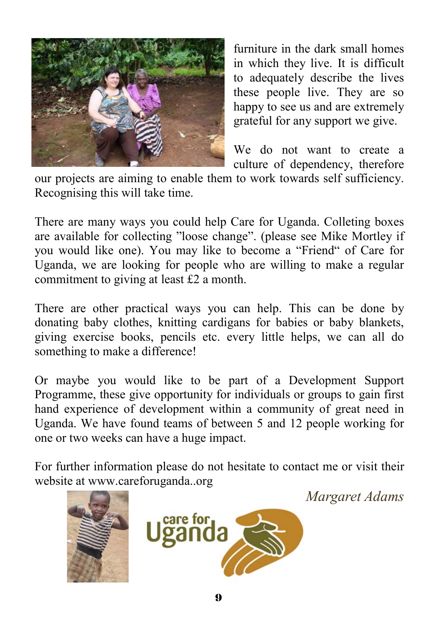

furniture in the dark small homes in which they live. It is difficult to adequately describe the lives these people live. They are so happy to see us and are extremely grateful for any support we give.

We do not want to create a culture of dependency, therefore

our projects are aiming to enable them to work towards self sufficiency. Recognising this will take time.

There are many ways you could help Care for Uganda. Colleting boxes are available for collecting "loose change". (please see Mike Mortley if you would like one). You may like to become a "Friend" of Care for Uganda, we are looking for people who are willing to make a regular commitment to giving at least £2 a month.

There are other practical ways you can help. This can be done by donating baby clothes, knitting cardigans for babies or baby blankets, giving exercise books, pencils etc. every little helps, we can all do something to make a difference!

Or maybe you would like to be part of a Development Support Programme, these give opportunity for individuals or groups to gain first hand experience of development within a community of great need in Uganda. We have found teams of between 5 and 12 people working for one or two weeks can have a huge impact.

For further information please do not hesitate to contact me or visit their website at www.careforuganda..org

*Margaret Adams* 

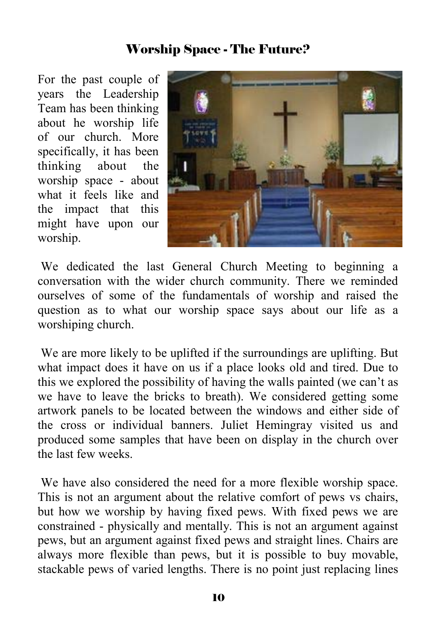#### Worship Space - The Future?

For the past couple of years the Leadership Team has been thinking about he worship life of our church. More specifically, it has been thinking about the worship space - about what it feels like and the impact that this might have upon our worship.



 We dedicated the last General Church Meeting to beginning a conversation with the wider church community. There we reminded ourselves of some of the fundamentals of worship and raised the question as to what our worship space says about our life as a worshiping church.

 We are more likely to be uplifted if the surroundings are uplifting. But what impact does it have on us if a place looks old and tired. Due to this we explored the possibility of having the walls painted (we can't as we have to leave the bricks to breath). We considered getting some artwork panels to be located between the windows and either side of the cross or individual banners. Juliet Hemingray visited us and produced some samples that have been on display in the church over the last few weeks.

 We have also considered the need for a more flexible worship space. This is not an argument about the relative comfort of pews vs chairs, but how we worship by having fixed pews. With fixed pews we are constrained - physically and mentally. This is not an argument against pews, but an argument against fixed pews and straight lines. Chairs are always more flexible than pews, but it is possible to buy movable, stackable pews of varied lengths. There is no point just replacing lines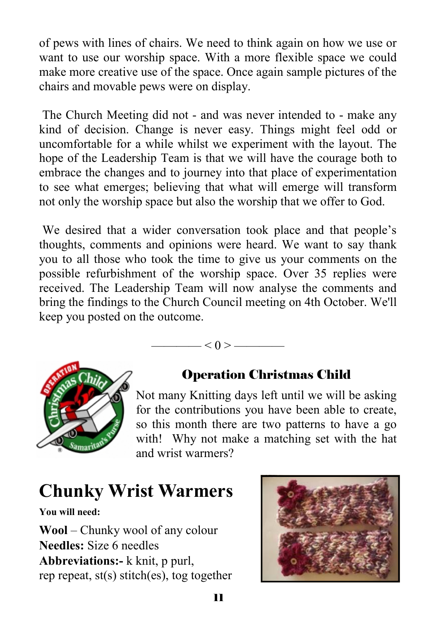of pews with lines of chairs. We need to think again on how we use or want to use our worship space. With a more flexible space we could make more creative use of the space. Once again sample pictures of the chairs and movable pews were on display.

 The Church Meeting did not - and was never intended to - make any kind of decision. Change is never easy. Things might feel odd or uncomfortable for a while whilst we experiment with the layout. The hope of the Leadership Team is that we will have the courage both to embrace the changes and to journey into that place of experimentation to see what emerges; believing that what will emerge will transform not only the worship space but also the worship that we offer to God.

 We desired that a wider conversation took place and that people's thoughts, comments and opinions were heard. We want to say thank you to all those who took the time to give us your comments on the possible refurbishment of the worship space. Over 35 replies were received. The Leadership Team will now analyse the comments and bring the findings to the Church Council meeting on 4th October. We'll keep you posted on the outcome.

 $-$  < 0 >  $-$ 



#### Operation Christmas Child

Not many Knitting days left until we will be asking for the contributions you have been able to create, so this month there are two patterns to have a go with! Why not make a matching set with the hat and wrist warmers?

# **Chunky Wrist Warmers**

**You will need:** 

**Wool** – Chunky wool of any colour **Needles:** Size 6 needles **Abbreviations:-** k knit, p purl, rep repeat, st(s) stitch(es), tog together

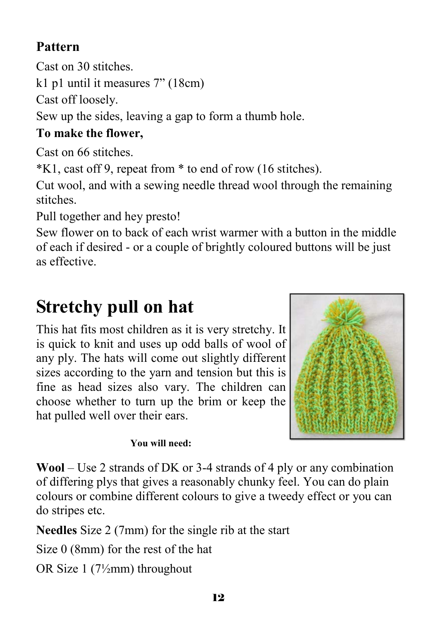## **Pattern**

Cast on 30 stitches.

k1 p1 until it measures 7" (18cm)

Cast off loosely.

Sew up the sides, leaving a gap to form a thumb hole.

#### **To make the flower,**

Cast on 66 stitches.

\*K1, cast off 9, repeat from \* to end of row (16 stitches).

Cut wool, and with a sewing needle thread wool through the remaining stitches.

Pull together and hey presto!

Sew flower on to back of each wrist warmer with a button in the middle of each if desired - or a couple of brightly coloured buttons will be just as effective.

# **Stretchy pull on hat**

This hat fits most children as it is very stretchy. It is quick to knit and uses up odd balls of wool of any ply. The hats will come out slightly different sizes according to the yarn and tension but this is fine as head sizes also vary. The children can choose whether to turn up the brim or keep the hat pulled well over their ears.



#### **You will need:**

**Wool** – Use 2 strands of DK or 3-4 strands of 4 ply or any combination of differing plys that gives a reasonably chunky feel. You can do plain colours or combine different colours to give a tweedy effect or you can do stripes etc.

**Needles** Size 2 (7mm) for the single rib at the start

Size 0 (8mm) for the rest of the hat

OR Size 1 (7½mm) throughout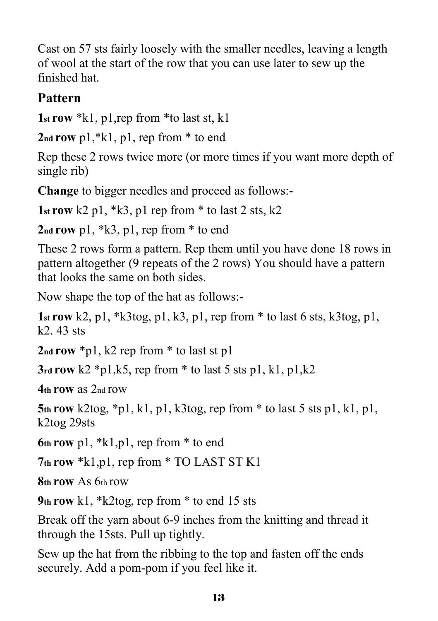Cast on 57 sts fairly loosely with the smaller needles, leaving a length of wool at the start of the row that you can use later to sew up the finished hat.

#### **Pattern**

**1st row** \*k1, p1,rep from \*to last st, k1

**2nd row** p1,\*k1, p1, rep from \* to end

Rep these 2 rows twice more (or more times if you want more depth of single rib)

**Change** to bigger needles and proceed as follows:-

1st row  $k2$  p1,  $k3$ , p1 rep from  $*$  to last 2 sts,  $k2$ 

**2nd row** p1, \*k3, p1, rep from \* to end

These 2 rows form a pattern. Rep them until you have done 18 rows in pattern altogether (9 repeats of the 2 rows) You should have a pattern that looks the same on both sides.

Now shape the top of the hat as follows:-

**1st row** k2, p1, \*k3tog, p1, k3, p1, rep from \* to last 6 sts, k3tog, p1,  $k2$  43 sts

**2nd row** \*p1, k2 rep from \* to last st p1

**3rd row** k2 \*p1,k5, rep from \* to last 5 sts p1, k1, p1,k2

**4th row** as 2nd row

**5th row** k2tog, \*p1, k1, p1, k3tog, rep from \* to last 5 sts p1, k1, p1, k2tog 29sts

**6th row** p1, \*k1,p1, rep from \* to end

**7th row** \*k1,p1, rep from \* TO LAST ST K1

**8th row** As 6th row

**9th row** k1, \*k2tog, rep from \* to end 15 sts

Break off the yarn about 6-9 inches from the knitting and thread it through the 15sts. Pull up tightly.

Sew up the hat from the ribbing to the top and fasten off the ends securely. Add a pom-pom if you feel like it.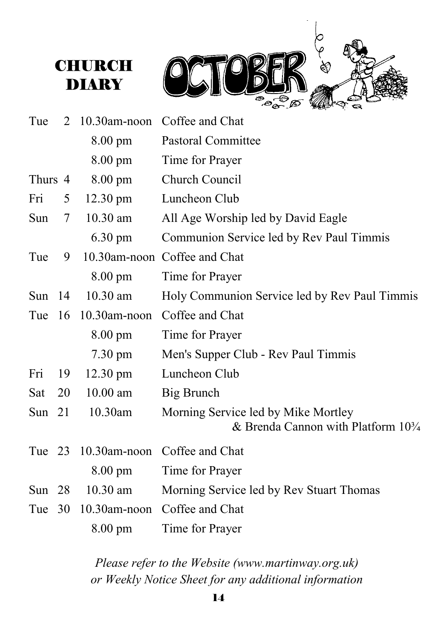



| Tue      | 2      | $10.30$ am-noon    | Coffee and Chat                                                                      |
|----------|--------|--------------------|--------------------------------------------------------------------------------------|
|          |        | 8.00 pm            | <b>Pastoral Committee</b>                                                            |
|          |        | 8.00 pm            | Time for Prayer                                                                      |
| Thurs 4  |        | $8.00 \text{ pm}$  | Church Council                                                                       |
| Fri      | 5      | $12.30 \text{ pm}$ | Luncheon Club                                                                        |
| Sun      | $\tau$ | 10.30 am           | All Age Worship led by David Eagle                                                   |
|          |        | $6.30 \text{ pm}$  | Communion Service led by Rev Paul Timmis                                             |
| Tue      | 9      |                    | 10.30am-noon Coffee and Chat                                                         |
|          |        | $8.00 \text{ pm}$  | Time for Prayer                                                                      |
| Sun $14$ |        | $10.30$ am         | Holy Communion Service led by Rev Paul Timmis                                        |
| Tue $16$ |        | 10.30am-noon       | Coffee and Chat                                                                      |
|          |        | $8.00 \text{ pm}$  | Time for Prayer                                                                      |
|          |        | 7.30 pm            | Men's Supper Club - Rev Paul Timmis                                                  |
| Fri      | 19     | 12.30 pm           | Luncheon Club                                                                        |
| Sat      | 20     | $10.00$ am         | Big Brunch                                                                           |
| Sun 21   |        | 10.30am            | Morning Service led by Mike Mortley<br>& Brenda Cannon with Platform $10\frac{3}{4}$ |
| Tue $23$ |        | $10.30$ am-noon    | Coffee and Chat                                                                      |
|          |        | $8.00 \text{ pm}$  | Time for Prayer                                                                      |
| Sun $28$ |        | $10.30$ am         | Morning Service led by Rev Stuart Thomas                                             |
| Tue      | 30     | $10.30$ am-noon    | Coffee and Chat                                                                      |
|          |        | $8.00 \text{ pm}$  | Time for Prayer                                                                      |

*Please refer to the Website (www.martinway.org.uk) or Weekly Notice Sheet for any additional information*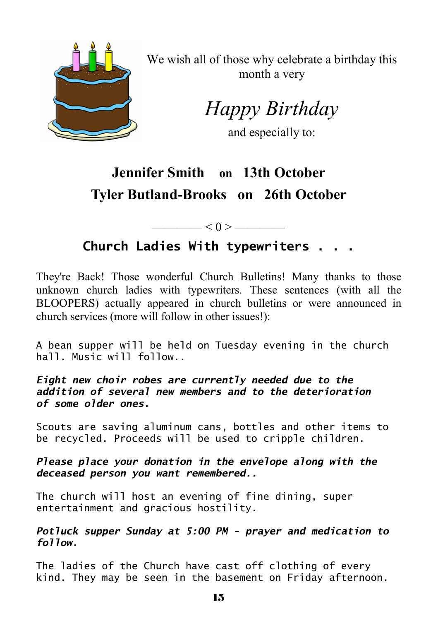

We wish all of those why celebrate a birthday this month a very

*Happy Birthday* 

and especially to:

# **Jennifer Smith on 13th October Tyler Butland-Brooks on 26th October**

 $< 0 >$  ——

#### **Church Ladies With typewriters . . .**

They're Back! Those wonderful Church Bulletins! Many thanks to those unknown church ladies with typewriters. These sentences (with all the BLOOPERS) actually appeared in church bulletins or were announced in church services (more will follow in other issues!):

A bean supper will be held on Tuesday evening in the church hall. Music will follow..

*Eight new choir robes are currently needed due to the addition of several new members and to the deterioration of some older ones.*

Scouts are saving aluminum cans, bottles and other items to be recycled. Proceeds will be used to cripple children.

*Please place your donation in the envelope along with the deceased person you want remembered..*

The church will host an evening of fine dining, super entertainment and gracious hostility.

*Potluck supper Sunday at 5:00 PM - prayer and medication to follow.* 

The ladies of the Church have cast off clothing of every kind. They may be seen in the basement on Friday afternoon.